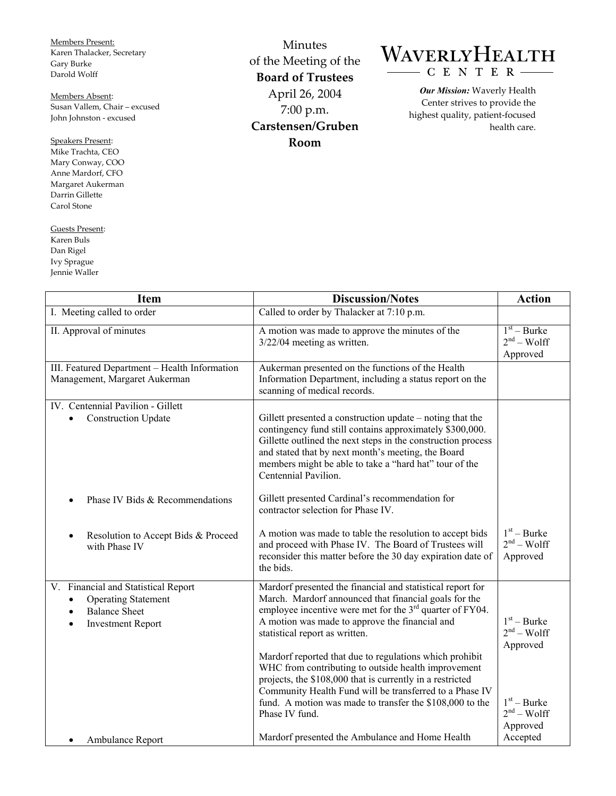Members Present: Karen Thalacker, Secretary Gary Burke Darold Wolff

Members Absent: Susan Vallem, Chair – excused John Johnston - excused

Speakers Present: Mike Trachta, CEO Mary Conway, COO Anne Mardorf, CFO Margaret Aukerman Darrin Gillette Carol Stone

Guests Present: Karen Buls Dan Rigel Ivy Sprague Jennie Waller

Γ

Minutes of the Meeting of the **Board of Trustees**  April 26, 2004 7:00 p.m. **Carstensen/Gruben Room** 

## WAVERLYHEALTH CENTER

*Our Mission:* Waverly Health Center strives to provide the highest quality, patient-focused health care.

| <b>Item</b>                                                                                                                                     | <b>Discussion/Notes</b>                                                                                                                                                                                                                                                                                                                                                                                                                                                                                                                                                                       | <b>Action</b>                                                                          |
|-------------------------------------------------------------------------------------------------------------------------------------------------|-----------------------------------------------------------------------------------------------------------------------------------------------------------------------------------------------------------------------------------------------------------------------------------------------------------------------------------------------------------------------------------------------------------------------------------------------------------------------------------------------------------------------------------------------------------------------------------------------|----------------------------------------------------------------------------------------|
| I. Meeting called to order                                                                                                                      | Called to order by Thalacker at 7:10 p.m.                                                                                                                                                                                                                                                                                                                                                                                                                                                                                                                                                     |                                                                                        |
| II. Approval of minutes                                                                                                                         | A motion was made to approve the minutes of the<br>$3/22/04$ meeting as written.                                                                                                                                                                                                                                                                                                                                                                                                                                                                                                              | $\overline{1^{st}}$ – Burke<br>$2nd - Wolf$<br>Approved                                |
| III. Featured Department - Health Information<br>Management, Margaret Aukerman                                                                  | Aukerman presented on the functions of the Health<br>Information Department, including a status report on the<br>scanning of medical records.                                                                                                                                                                                                                                                                                                                                                                                                                                                 |                                                                                        |
| IV. Centennial Pavilion - Gillett<br><b>Construction Update</b><br>$\bullet$                                                                    | Gillett presented a construction update – noting that the<br>contingency fund still contains approximately \$300,000.<br>Gillette outlined the next steps in the construction process<br>and stated that by next month's meeting, the Board<br>members might be able to take a "hard hat" tour of the<br>Centennial Pavilion.                                                                                                                                                                                                                                                                 |                                                                                        |
| Phase IV Bids & Recommendations                                                                                                                 | Gillett presented Cardinal's recommendation for<br>contractor selection for Phase IV.                                                                                                                                                                                                                                                                                                                                                                                                                                                                                                         |                                                                                        |
| Resolution to Accept Bids & Proceed<br>٠<br>with Phase IV                                                                                       | A motion was made to table the resolution to accept bids<br>and proceed with Phase IV. The Board of Trustees will<br>reconsider this matter before the 30 day expiration date of<br>the bids.                                                                                                                                                                                                                                                                                                                                                                                                 | $1st - Burke$<br>$2nd - Wolf$<br>Approved                                              |
| V. Financial and Statistical Report<br><b>Operating Statement</b><br><b>Balance Sheet</b><br>$\bullet$<br><b>Investment Report</b><br>$\bullet$ | Mardorf presented the financial and statistical report for<br>March. Mardorf announced that financial goals for the<br>employee incentive were met for the $3rd$ quarter of FY04.<br>A motion was made to approve the financial and<br>statistical report as written.<br>Mardorf reported that due to regulations which prohibit<br>WHC from contributing to outside health improvement<br>projects, the \$108,000 that is currently in a restricted<br>Community Health Fund will be transferred to a Phase IV<br>fund. A motion was made to transfer the \$108,000 to the<br>Phase IV fund. | $1st - Burke$<br>$2nd - Wolf$<br>Approved<br>$1st - Burke$<br>$2nd - Wolf$<br>Approved |
| Ambulance Report                                                                                                                                | Mardorf presented the Ambulance and Home Health                                                                                                                                                                                                                                                                                                                                                                                                                                                                                                                                               | Accepted                                                                               |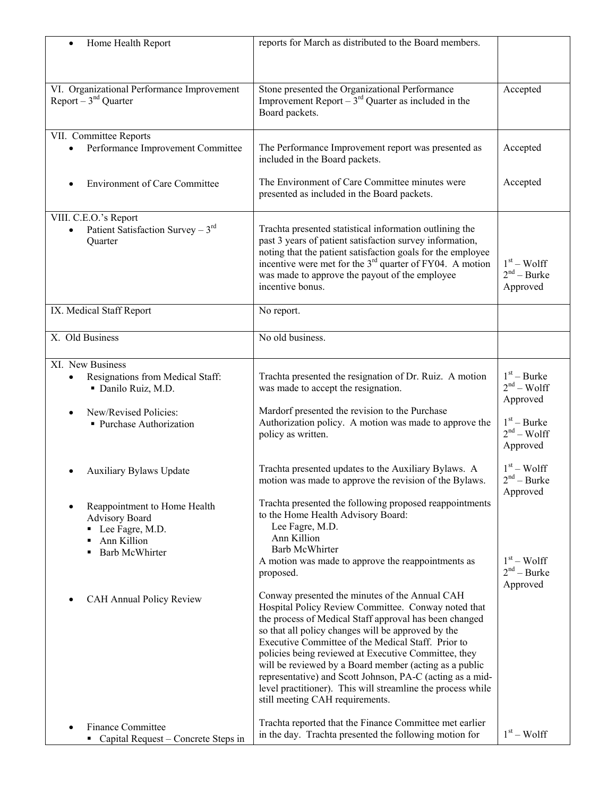| Home Health Report<br>$\bullet$                                   | reports for March as distributed to the Board members.                                                                    |                               |
|-------------------------------------------------------------------|---------------------------------------------------------------------------------------------------------------------------|-------------------------------|
|                                                                   |                                                                                                                           |                               |
|                                                                   |                                                                                                                           |                               |
| VI. Organizational Performance Improvement                        | Stone presented the Organizational Performance                                                                            | Accepted                      |
| Report $-3nd$ Quarter                                             | Improvement Report $-\tilde{3}^{rd}$ Quarter as included in the                                                           |                               |
|                                                                   | Board packets.                                                                                                            |                               |
| VII. Committee Reports                                            |                                                                                                                           |                               |
| Performance Improvement Committee                                 | The Performance Improvement report was presented as                                                                       | Accepted                      |
|                                                                   | included in the Board packets.                                                                                            |                               |
| <b>Environment of Care Committee</b>                              | The Environment of Care Committee minutes were                                                                            | Accepted                      |
|                                                                   | presented as included in the Board packets.                                                                               |                               |
| VIII. C.E.O.'s Report                                             |                                                                                                                           |                               |
| Patient Satisfaction Survey - $3rd$<br>$\bullet$                  | Trachta presented statistical information outlining the                                                                   |                               |
| Quarter                                                           | past 3 years of patient satisfaction survey information,                                                                  |                               |
|                                                                   | noting that the patient satisfaction goals for the employee<br>incentive were met for the $3rd$ quarter of FY04. A motion | $1st - Wolf$                  |
|                                                                   | was made to approve the payout of the employee                                                                            | $2nd - Burke$                 |
|                                                                   | incentive bonus.                                                                                                          | Approved                      |
| IX. Medical Staff Report                                          | No report.                                                                                                                |                               |
|                                                                   |                                                                                                                           |                               |
| X. Old Business                                                   | No old business.                                                                                                          |                               |
|                                                                   |                                                                                                                           |                               |
| XI. New Business                                                  |                                                                                                                           | $1st - Burke$                 |
| Resignations from Medical Staff:<br>· Danilo Ruiz, M.D.           | Trachta presented the resignation of Dr. Ruiz. A motion<br>was made to accept the resignation.                            | $2nd - Wolf$                  |
|                                                                   |                                                                                                                           | Approved                      |
| New/Revised Policies:                                             | Mardorf presented the revision to the Purchase                                                                            |                               |
| • Purchase Authorization                                          | Authorization policy. A motion was made to approve the<br>policy as written.                                              | $1st - Burke$<br>$2nd - Wolf$ |
|                                                                   |                                                                                                                           | Approved                      |
|                                                                   |                                                                                                                           |                               |
| <b>Auxiliary Bylaws Update</b>                                    | Trachta presented updates to the Auxiliary Bylaws. A<br>motion was made to approve the revision of the Bylaws.            | $1st - Wolf$<br>$2nd - Burke$ |
|                                                                   |                                                                                                                           | Approved                      |
| Reappointment to Home Health                                      | Trachta presented the following proposed reappointments                                                                   |                               |
| <b>Advisory Board</b>                                             | to the Home Health Advisory Board:<br>Lee Fagre, M.D.                                                                     |                               |
| • Lee Fagre, M.D.<br>Ann Killion                                  | Ann Killion                                                                                                               |                               |
| <b>Barb McWhirter</b>                                             | <b>Barb McWhirter</b>                                                                                                     |                               |
|                                                                   | A motion was made to approve the reappointments as                                                                        | $1st - Wolf$<br>$2nd - Burke$ |
|                                                                   | proposed.                                                                                                                 | Approved                      |
| CAH Annual Policy Review<br>$\bullet$                             | Conway presented the minutes of the Annual CAH                                                                            |                               |
|                                                                   | Hospital Policy Review Committee. Conway noted that                                                                       |                               |
|                                                                   | the process of Medical Staff approval has been changed<br>so that all policy changes will be approved by the              |                               |
|                                                                   | Executive Committee of the Medical Staff. Prior to                                                                        |                               |
|                                                                   | policies being reviewed at Executive Committee, they                                                                      |                               |
|                                                                   | will be reviewed by a Board member (acting as a public<br>representative) and Scott Johnson, PA-C (acting as a mid-       |                               |
|                                                                   | level practitioner). This will streamline the process while                                                               |                               |
|                                                                   | still meeting CAH requirements.                                                                                           |                               |
|                                                                   | Trachta reported that the Finance Committee met earlier                                                                   |                               |
| <b>Finance Committee</b><br>• Capital Request – Concrete Steps in | in the day. Trachta presented the following motion for                                                                    | $1st - Wolf$                  |
|                                                                   |                                                                                                                           |                               |